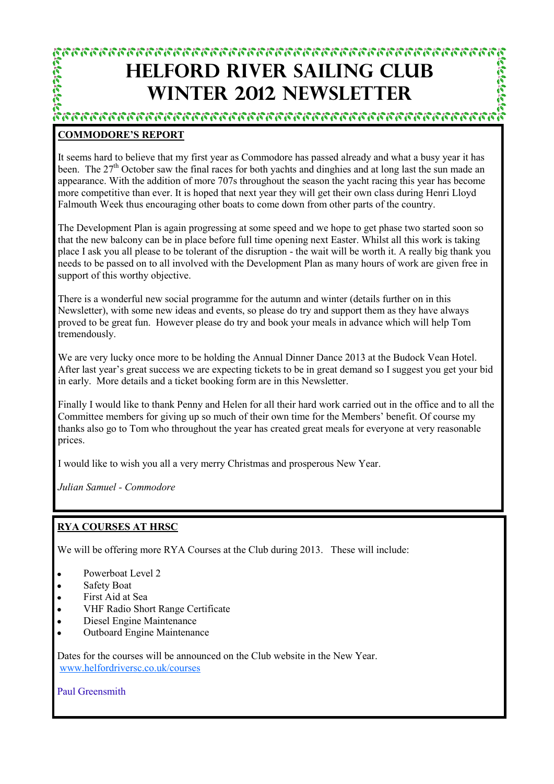# **HELFORD RIVER SAILING CLUB WINTER 2012 NEWSLETTER**

**Call Collection** 

### **COMMODORE'S REPORT**

It seems hard to believe that my first year as Commodore has passed already and what a busy year it has been. The 27<sup>th</sup> October saw the final races for both yachts and dinghies and at long last the sun made an appearance. With the addition of more 707s throughout the season the yacht racing this year has become more competitive than ever. It is hoped that next year they will get their own class during Henri Lloyd Falmouth Week thus encouraging other boats to come down from other parts of the country.

The Development Plan is again progressing at some speed and we hope to get phase two started soon so that the new balcony can be in place before full time opening next Easter. Whilst all this work is taking place I ask you all please to be tolerant of the disruption - the wait will be worth it. A really big thank you needs to be passed on to all involved with the Development Plan as many hours of work are given free in support of this worthy objective.

There is a wonderful new social programme for the autumn and winter (details further on in this Newsletter), with some new ideas and events, so please do try and support them as they have always proved to be great fun. However please do try and book your meals in advance which will help Tom tremendously.

We are very lucky once more to be holding the Annual Dinner Dance 2013 at the Budock Vean Hotel. After last year's great success we are expecting tickets to be in great demand so I suggest you get your bid in early. More details and a ticket booking form are in this Newsletter.

Finally I would like to thank Penny and Helen for all their hard work carried out in the office and to all the Committee members for giving up so much of their own time for the Members' benefit. Of course my thanks also go to Tom who throughout the year has created great meals for everyone at very reasonable prices.

I would like to wish you all a very merry Christmas and prosperous New Year.

*Julian Samuel - Commodore*

### **RYA COURSES AT HRSC**

We will be offering more RYA Courses at the Club during 2013. These will include:

- Powerboat Level 2
- Safety Boat
- First Aid at Sea  $\bullet$
- VHF Radio Short Range Certificate
- Diesel Engine Maintenance  $\bullet$
- Outboard Engine Maintenance

Dates for the courses will be announced on the Club website in the New Year. [www.helfordriversc.co.uk/courses](http://www.helfordriversc.co.uk/courses)

Paul Greensmith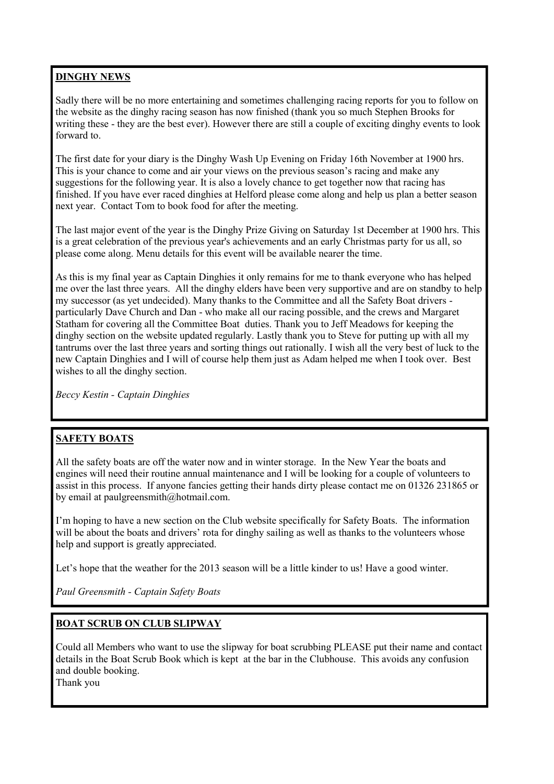### **DINGHY NEWS**

Sadly there will be no more entertaining and sometimes challenging racing reports for you to follow on the website as the dinghy racing season has now finished (thank you so much Stephen Brooks for writing these - they are the best ever). However there are still a couple of exciting dinghy events to look forward to.

The first date for your diary is the Dinghy Wash Up Evening on Friday 16th November at 1900 hrs. This is your chance to come and air your views on the previous season's racing and make any suggestions for the following year. It is also a lovely chance to get together now that racing has finished. If you have ever raced dinghies at Helford please come along and help us plan a better season next year. Contact Tom to book food for after the meeting.

The last major event of the year is the Dinghy Prize Giving on Saturday 1st December at 1900 hrs. This is a great celebration of the previous year's achievements and an early Christmas party for us all, so please come along. Menu details for this event will be available nearer the time.

As this is my final year as Captain Dinghies it only remains for me to thank everyone who has helped me over the last three years. All the dinghy elders have been very supportive and are on standby to help my successor (as yet undecided). Many thanks to the Committee and all the Safety Boat drivers particularly Dave Church and Dan - who make all our racing possible, and the crews and Margaret Statham for covering all the Committee Boat duties. Thank you to Jeff Meadows for keeping the dinghy section on the website updated regularly. Lastly thank you to Steve for putting up with all my tantrums over the last three years and sorting things out rationally. I wish all the very best of luck to the new Captain Dinghies and I will of course help them just as Adam helped me when I took over. Best wishes to all the dinghy section.

*Beccy Kestin - Captain Dinghies*

### **SAFETY BOATS**

All the safety boats are off the water now and in winter storage. In the New Year the boats and engines will need their routine annual maintenance and I will be looking for a couple of volunteers to assist in this process. If anyone fancies getting their hands dirty please contact me on 01326 231865 or by email at paulgreensmith@hotmail.com.

I'm hoping to have a new section on the Club website specifically for Safety Boats. The information will be about the boats and drivers' rota for dinghy sailing as well as thanks to the volunteers whose help and support is greatly appreciated.

Let's hope that the weather for the 2013 season will be a little kinder to us! Have a good winter.

*Paul Greensmith - Captain Safety Boats*

### **BOAT SCRUB ON CLUB SLIPWAY**

Could all Members who want to use the slipway for boat scrubbing PLEASE put their name and contact details in the Boat Scrub Book which is kept at the bar in the Clubhouse. This avoids any confusion and double booking.

Thank you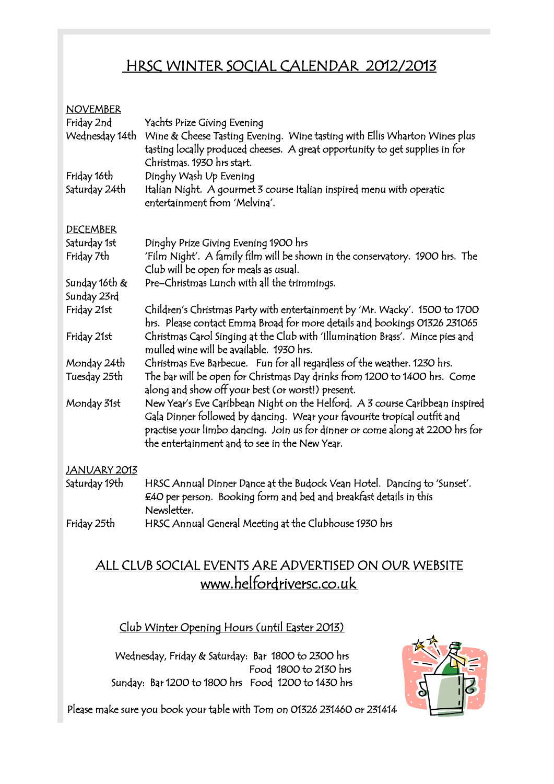# HRSC WINTER SOCIAL CALENDAR 2012/2013

| <b>NOVEMBER</b><br>Friday 2nd<br>Wednesday 14th | Yachts Prize Giving Evening<br>Wine & Cheese Tasting Evening. Wine tasting with Ellis Wharton Wines plus<br>tasting locally produced cheeses. A great opportunity to get supplies in for                                                                                                   |
|-------------------------------------------------|--------------------------------------------------------------------------------------------------------------------------------------------------------------------------------------------------------------------------------------------------------------------------------------------|
| Friday 16th<br>Saturday 24th                    | Christmas. 1930 hrs start.<br>Dinghy Wash Up Evening<br>Italian Night. A gourmet 3 course Italian inspired menu with operatic<br>entertainment from 'Melvina'.                                                                                                                             |
| <b>DECEMBER</b>                                 |                                                                                                                                                                                                                                                                                            |
| Saturday 1st<br>Friday 7th                      | Dinghy Prize Giving Evening 1900 hrs<br>'Film Night'. A family film will be shown in the conservatory. 1900 hrs. The<br>Club will be open for meals as usual.                                                                                                                              |
| Sunday 16th $\&$<br>Sunday 23rd                 | Pre-Christmas Lunch with all the trimmings.                                                                                                                                                                                                                                                |
| Friday 21st                                     | Children's Christmas Party with entertainment by 'Mr. Wacky'. 1500 to 1700<br>hrs. Please contact Emma Broad for more details and bookings 01326 231065                                                                                                                                    |
| Friday 21st                                     | Christmas Carol Singing at the Club with 'Illumination Brass'. Mince pies and<br>mulled wine will be available. 1930 hrs.                                                                                                                                                                  |
| Monday 24th<br>Tuesday 25th                     | Christmas Eve Barbecue. Fun for all regardless of the weather. 1230 hrs.<br>The bar will be open for Christmas Day drinks from 1200 to 1400 hrs. Come<br>along and show off your best (or worst!) present.                                                                                 |
| Monday 31st                                     | New Year's Eve Caribbean Night on the Helford. A 3 course Caribbean inspired<br>Gala Dinner followed by dancing. Wear your favourite tropical outfit and<br>practise your limbo dancing. Join us for dinner or come along at 2200 hrs for<br>the entertainment and to see in the New Year. |
| <b>JANUARY 2013</b>                             |                                                                                                                                                                                                                                                                                            |
| Saturday 19th                                   | HRSC Annual Dinner Dance at the Budock Vean Hotel. Dancing to 'Sunset'.<br>£40 per person. Booking form and bed and breakfast details in this<br>Newsletter.                                                                                                                               |
| Friday 25th                                     | HRSC Annual General Meeting at the Clubhouse 1930 hrs                                                                                                                                                                                                                                      |

# ALL CLUB SOCIAL EVENTS ARE ADVERTISED ON OUR WEBSITE www.helfordriversc.co.uk

### Club Winter Opening Hours (until Easter 2013)

Wednesday, Friday & Saturday: Bar 1800 to 2300 hrs Food 1800 to 2130 hrs Sunday: Bar 1200 to 1800 hrs Food 1200 to 1430 hrs



Please make sure you book your table with Tom on 01326 231460 or 231414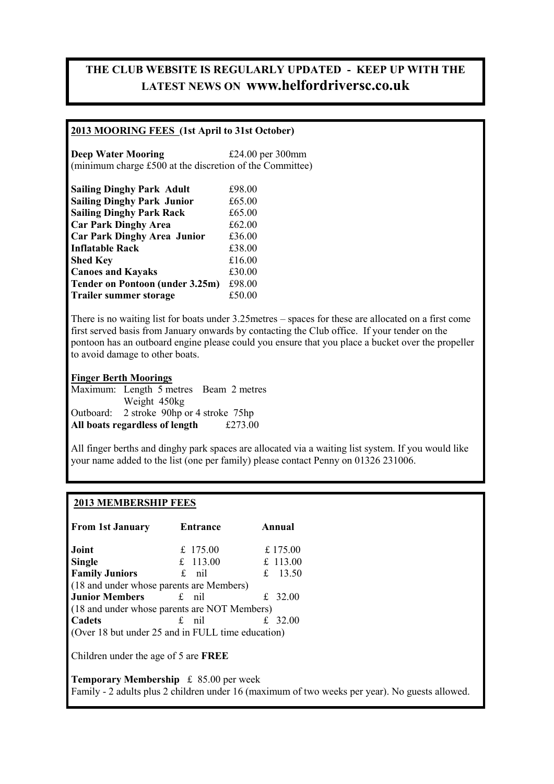### **THE CLUB WEBSITE IS REGULARLY UPDATED - KEEP UP WITH THE LATEST NEWS ON www.helfordriversc.co.uk**

### **2013 MOORING FEES (1st April to 31st October)**

**Deep Water Mooring**  $\text{£}24.00 \text{ per } 300 \text{ mm}$ (minimum charge £500 at the discretion of the Committee)

| <b>Sailing Dinghy Park Adult</b>   | £98.00 |
|------------------------------------|--------|
| <b>Sailing Dinghy Park Junior</b>  | £65.00 |
| <b>Sailing Dinghy Park Rack</b>    | £65.00 |
| <b>Car Park Dinghy Area</b>        | £62.00 |
| <b>Car Park Dinghy Area Junior</b> | £36.00 |
| <b>Inflatable Rack</b>             | £38.00 |
| <b>Shed Key</b>                    | £16.00 |
| <b>Canoes and Kayaks</b>           | £30.00 |
| Tender on Pontoon (under 3.25m)    | £98.00 |
| <b>Trailer summer storage</b>      | £50.00 |

There is no waiting list for boats under 3.25metres – spaces for these are allocated on a first come first served basis from January onwards by contacting the Club office. If your tender on the pontoon has an outboard engine please could you ensure that you place a bucket over the propeller to avoid damage to other boats.

**Finger Berth Moorings** Maximum: Length 5 metres Beam 2 metres Weight 450kg Outboard: 2 stroke 90hp or 4 stroke 75hp **All boats regardless of length** £273.00

All finger berths and dinghy park spaces are allocated via a waiting list system. If you would like your name added to the list (one per family) please contact Penny on 01326 231006.

#### **2013 MEMBERSHIP FEES**

| <b>From 1st January</b>                           | Entrance | Annual               |                                                                                                |  |
|---------------------------------------------------|----------|----------------------|------------------------------------------------------------------------------------------------|--|
| Joint                                             | £ 175.00 | £ 175.00             |                                                                                                |  |
| <b>Single</b>                                     | £ 113.00 | £ 113.00             |                                                                                                |  |
| <b>Family Juniors</b>                             | $f$ nil  | £ 13.50              |                                                                                                |  |
| (18 and under whose parents are Members)          |          |                      |                                                                                                |  |
| <b>Junior Members</b>                             | $f$ nil  | £ 32.00              |                                                                                                |  |
| (18 and under whose parents are NOT Members)      |          |                      |                                                                                                |  |
| Cadets                                            | $f$ nil  | 32.00<br>$f_{\cdot}$ |                                                                                                |  |
| (Over 18 but under 25 and in FULL time education) |          |                      |                                                                                                |  |
| Children under the age of 5 are <b>FREE</b>       |          |                      |                                                                                                |  |
| <b>Temporary Membership</b> $\leq 85.00$ per week |          |                      | Family - 2 adults plus 2 children under 16 (maximum of two weeks per year). No guests allowed. |  |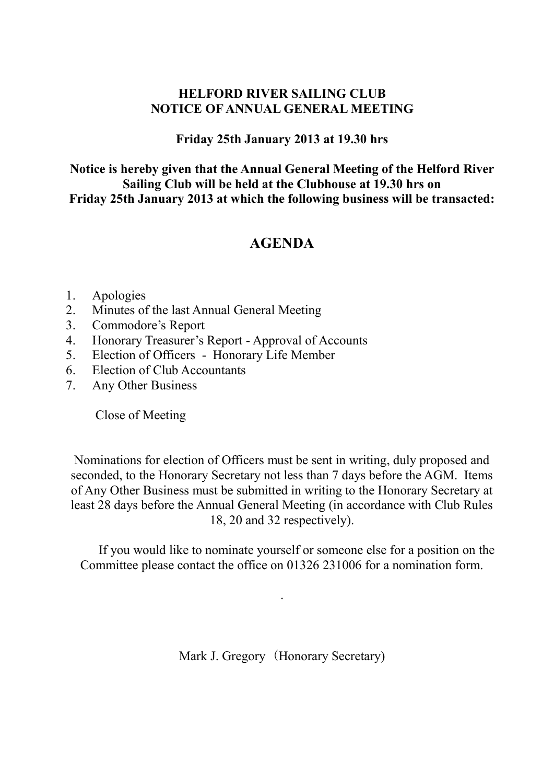### **HELFORD RIVER SAILING CLUB NOTICE OF ANNUAL GENERAL MEETING**

### **Friday 25th January 2013 at 19.30 hrs**

**Notice is hereby given that the Annual General Meeting of the Helford River Sailing Club will be held at the Clubhouse at 19.30 hrs on Friday 25th January 2013 at which the following business will be transacted:**

## **AGENDA**

### 1. Apologies

- 2. Minutes of the last Annual General Meeting
- 3. Commodore's Report
- 4. Honorary Treasurer's Report Approval of Accounts
- 5. Election of Officers Honorary Life Member
- 6. Election of Club Accountants
- 7. Any Other Business

Close of Meeting

Nominations for election of Officers must be sent in writing, duly proposed and seconded, to the Honorary Secretary not less than 7 days before the AGM. Items of Any Other Business must be submitted in writing to the Honorary Secretary at least 28 days before the Annual General Meeting (in accordance with Club Rules 18, 20 and 32 respectively).

If you would like to nominate yourself or someone else for a position on the Committee please contact the office on 01326 231006 for a nomination form.

Mark J. Gregory (Honorary Secretary)

.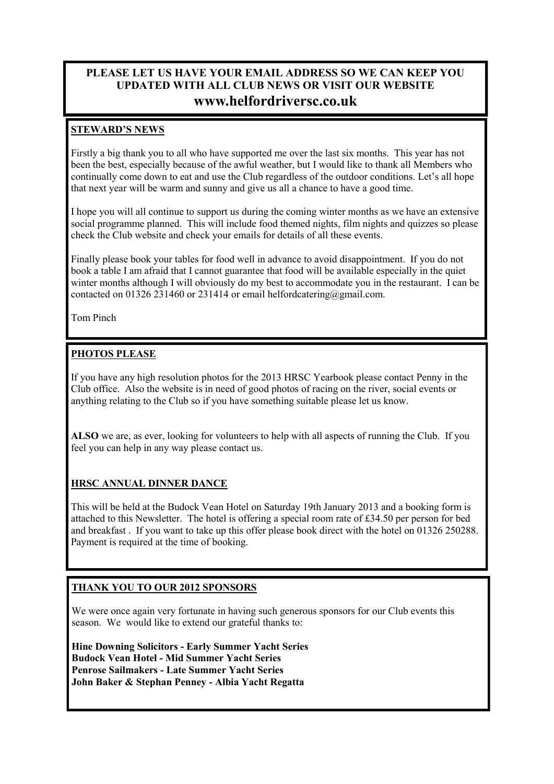### **PLEASE LET US HAVE YOUR EMAIL ADDRESS SO WE CAN KEEP YOU UPDATED WITH ALL CLUB NEWS OR VISIT OUR WEBSITE www.helfordriversc.co.uk**

### **STEWARD'S NEWS**

Firstly a big thank you to all who have supported me over the last six months. This year has not been the best, especially because of the awful weather, but I would like to thank all Members who continually come down to eat and use the Club regardless of the outdoor conditions. Let's all hope that next year will be warm and sunny and give us all a chance to have a good time.

I hope you will all continue to support us during the coming winter months as we have an extensive social programme planned. This will include food themed nights, film nights and quizzes so please check the Club website and check your emails for details of all these events.

Finally please book your tables for food well in advance to avoid disappointment. If you do not book a table I am afraid that I cannot guarantee that food will be available especially in the quiet winter months although I will obviously do my best to accommodate you in the restaurant. I can be contacted on 01326 231460 or 231414 or email helfordcatering@gmail.com.

Tom Pinch

### **PHOTOS PLEASE**

If you have any high resolution photos for the 2013 HRSC Yearbook please contact Penny in the Club office. Also the website is in need of good photos of racing on the river, social events or anything relating to the Club so if you have something suitable please let us know.

**ALSO** we are, as ever, looking for volunteers to help with all aspects of running the Club. If you feel you can help in any way please contact us.

### **HRSC ANNUAL DINNER DANCE**

This will be held at the Budock Vean Hotel on Saturday 19th January 2013 and a booking form is attached to this Newsletter. The hotel is offering a special room rate of £34.50 per person for bed and breakfast . If you want to take up this offer please book direct with the hotel on 01326 250288. Payment is required at the time of booking.

### **THANK YOU TO OUR 2012 SPONSORS**

We were once again very fortunate in having such generous sponsors for our Club events this season. We would like to extend our grateful thanks to:

**Hine Downing Solicitors - Early Summer Yacht Series Budock Vean Hotel - Mid Summer Yacht Series Penrose Sailmakers - Late Summer Yacht Series John Baker & Stephan Penney - Albia Yacht Regatta**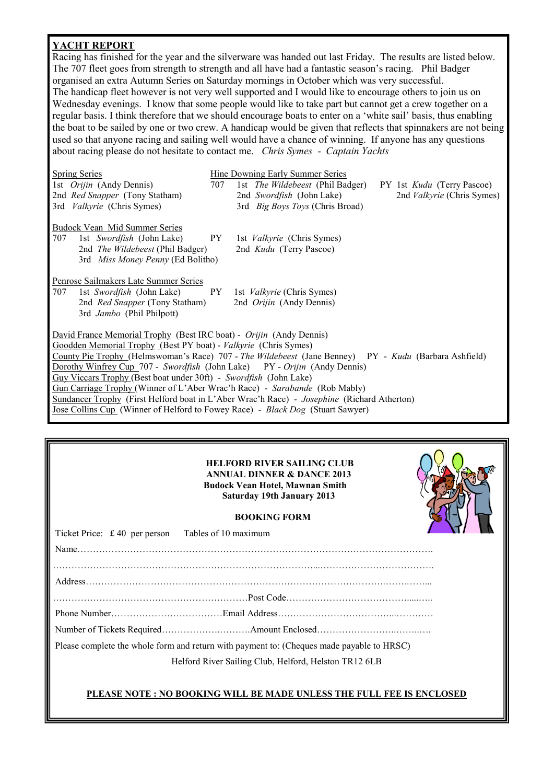### **YACHT REPORT**

Racing has finished for the year and the silverware was handed out last Friday. The results are listed below. The 707 fleet goes from strength to strength and all have had a fantastic season's racing. Phil Badger organised an extra Autumn Series on Saturday mornings in October which was very successful. The handicap fleet however is not very well supported and I would like to encourage others to join us on Wednesday evenings. I know that some people would like to take part but cannot get a crew together on a regular basis. I think therefore that we should encourage boats to enter on a 'white sail' basis, thus enabling the boat to be sailed by one or two crew. A handicap would be given that reflects that spinnakers are not being used so that anyone racing and sailing well would have a chance of winning. If anyone has any questions about racing please do not hesitate to contact me. *Chris Symes* - *Captain Yachts*

| <b>Spring Series</b>                                                                       |                                                                                                       | Hine Downing Early Summer Series                                             |  |  |  |  |  |
|--------------------------------------------------------------------------------------------|-------------------------------------------------------------------------------------------------------|------------------------------------------------------------------------------|--|--|--|--|--|
| 1st <i>Orijin</i> (Andy Dennis)                                                            | 707                                                                                                   | 1st <i>The Wildebeest</i> (Phil Badger)<br>PY 1st <i>Kudu</i> (Terry Pascoe) |  |  |  |  |  |
| 2nd <i>Red Snapper</i> (Tony Statham)                                                      |                                                                                                       | 2nd Swordfish (John Lake)<br>2nd <i>Valkyrie</i> (Chris Symes)               |  |  |  |  |  |
| 3rd <i>Valkyrie</i> (Chris Symes)                                                          |                                                                                                       | 3rd <i>Big Boys Toys</i> (Chris Broad)                                       |  |  |  |  |  |
| <b>Budock Vean Mid Summer Series</b>                                                       |                                                                                                       |                                                                              |  |  |  |  |  |
| 707<br>1st Swordfish (John Lake)                                                           |                                                                                                       | PY 1st <i>Valkyrie</i> (Chris Symes)                                         |  |  |  |  |  |
| 2nd The Wildebeest (Phil Badger)                                                           |                                                                                                       | 2nd <i>Kudu</i> (Terry Pascoe)                                               |  |  |  |  |  |
| 3rd Miss Money Penny (Ed Bolitho)                                                          |                                                                                                       |                                                                              |  |  |  |  |  |
| Penrose Sailmakers Late Summer Series                                                      |                                                                                                       |                                                                              |  |  |  |  |  |
| 1st Swordfish (John Lake) PY 1st Valkyrie (Chris Symes)<br>707                             |                                                                                                       |                                                                              |  |  |  |  |  |
| 2nd <i>Red Snapper</i> (Tony Statham)                                                      |                                                                                                       | 2nd <i>Orijin</i> (Andy Dennis)                                              |  |  |  |  |  |
| 3rd Jambo (Phil Philpott)                                                                  |                                                                                                       |                                                                              |  |  |  |  |  |
| David France Memorial Trophy (Best IRC boat) - Orijin (Andy Dennis)                        |                                                                                                       |                                                                              |  |  |  |  |  |
| Goodden Memorial Trophy (Best PY boat) - Valkyrie (Chris Symes)                            |                                                                                                       |                                                                              |  |  |  |  |  |
|                                                                                            | County Pie Trophy (Helmswoman's Race) 707 - The Wildebeest (Jane Benney) PY - Kudu (Barbara Ashfield) |                                                                              |  |  |  |  |  |
| Dorothy Winfrey Cup 707 - Swordfish (John Lake) PY - Orijin (Andy Dennis)                  |                                                                                                       |                                                                              |  |  |  |  |  |
| Guy Viccars Trophy (Best boat under 30ft) - Swordfish (John Lake)                          |                                                                                                       |                                                                              |  |  |  |  |  |
| Gun Carriage Trophy (Winner of L'Aber Wrac'h Race) - Sarabande (Rob Mably)                 |                                                                                                       |                                                                              |  |  |  |  |  |
| Sundancer Trophy (First Helford boat in L'Aber Wrac'h Race) - Josephine (Richard Atherton) |                                                                                                       |                                                                              |  |  |  |  |  |
| Jose Collins Cup (Winner of Helford to Fowey Race) - Black Dog (Stuart Sawyer)             |                                                                                                       |                                                                              |  |  |  |  |  |
|                                                                                            |                                                                                                       |                                                                              |  |  |  |  |  |

#### **HELFORD RIVER SAILING CLUB ANNUAL DINNER & DANCE 2013 Budock Vean Hotel, Mawnan Smith Saturday 19th January 2013**



| Ticket Price: £40 per person Tables of 10 maximum |                                                                                           |  |
|---------------------------------------------------|-------------------------------------------------------------------------------------------|--|
|                                                   |                                                                                           |  |
|                                                   |                                                                                           |  |
|                                                   |                                                                                           |  |
|                                                   |                                                                                           |  |
|                                                   |                                                                                           |  |
|                                                   |                                                                                           |  |
|                                                   | Please complete the whole form and return with payment to: (Cheques made payable to HRSC) |  |
|                                                   | Helford River Sailing Club, Helford, Helston TR12 6LB                                     |  |
|                                                   |                                                                                           |  |

#### **PLEASE NOTE : NO BOOKING WILL BE MADE UNLESS THE FULL FEE IS ENCLOSED**